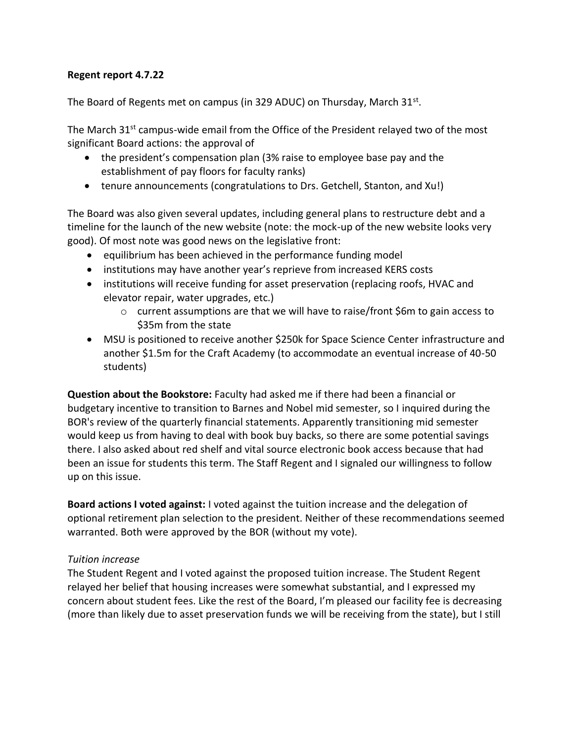### **Regent report 4.7.22**

The Board of Regents met on campus (in 329 ADUC) on Thursday, March 31st.

The March  $31^{st}$  campus-wide email from the Office of the President relayed two of the most significant Board actions: the approval of

- the president's compensation plan (3% raise to employee base pay and the establishment of pay floors for faculty ranks)
- tenure announcements (congratulations to Drs. Getchell, Stanton, and Xu!)

The Board was also given several updates, including general plans to restructure debt and a timeline for the launch of the new website (note: the mock-up of the new website looks very good). Of most note was good news on the legislative front:

- equilibrium has been achieved in the performance funding model
- institutions may have another year's reprieve from increased KERS costs
- institutions will receive funding for asset preservation (replacing roofs, HVAC and elevator repair, water upgrades, etc.)
	- $\circ$  current assumptions are that we will have to raise/front \$6m to gain access to \$35m from the state
- MSU is positioned to receive another \$250k for Space Science Center infrastructure and another \$1.5m for the Craft Academy (to accommodate an eventual increase of 40-50 students)

**Question about the Bookstore:** Faculty had asked me if there had been a financial or budgetary incentive to transition to Barnes and Nobel mid semester, so I inquired during the BOR's review of the quarterly financial statements. Apparently transitioning mid semester would keep us from having to deal with book buy backs, so there are some potential savings there. I also asked about red shelf and vital source electronic book access because that had been an issue for students this term. The Staff Regent and I signaled our willingness to follow up on this issue.

**Board actions I voted against:** I voted against the tuition increase and the delegation of optional retirement plan selection to the president. Neither of these recommendations seemed warranted. Both were approved by the BOR (without my vote).

# *Tuition increase*

The Student Regent and I voted against the proposed tuition increase. The Student Regent relayed her belief that housing increases were somewhat substantial, and I expressed my concern about student fees. Like the rest of the Board, I'm pleased our facility fee is decreasing (more than likely due to asset preservation funds we will be receiving from the state), but I still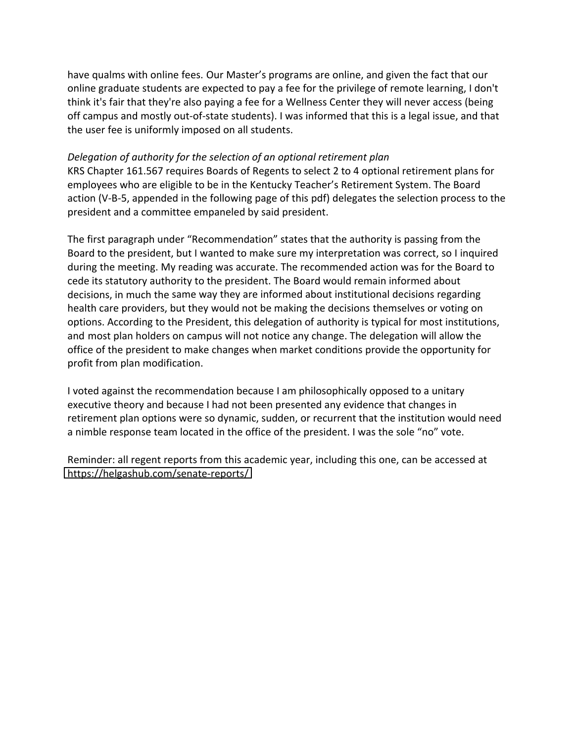have qualms with online fees. Our Master's programs are online, and given the fact that our online graduate students are expected to pay a fee for the privilege of remote learning, I don't think it's fair that they're also paying a fee for a Wellness Center they will never access (being off campus and mostly out-of-state students). I was informed that this is a legal issue, and that the user fee is uniformly imposed on all students.

### *Delegation of authority for the selection of an optional retirement plan*

KRS Chapter 161.567 requires Boards of Regents to select 2 to 4 optional retirement plans for employees who are eligible to be in the Kentucky Teacher's Retirement System. The Board action (V-B-5, appended in the following page of this pdf) delegates the selection process to the president and a committee empaneled by said president.

The first paragraph under "Recommendation" states that the authority is passing from the Board to the president, but I wanted to make sure my interpretation was correct, so I inquired during the meeting. My reading was accurate. The recommended action was for the Board to cede its statutory authority to the president. The Board would remain informed about decisions, in much the same way they are informed about institutional decisions regarding health care providers, but they would not be making the decisions themselves or voting on options. According to the President, this delegation of authority is typical for most institutions, and most plan holders on campus will not notice any change. The delegation will allow the office of the president to make changes when market conditions provide the opportunity for profit from plan modification.

I voted against the recommendation because I am philosophically opposed to a unitary executive theory and because I had not been presented any evidence that changes in retirement plan options were so dynamic, sudden, or recurrent that the institution would need a nimble response team located in the office of the president. I was the sole "no" vote.

Reminder: all regent reports from this academic year, including this one, can be accessed at <https://helgashub.com/senate-reports/>